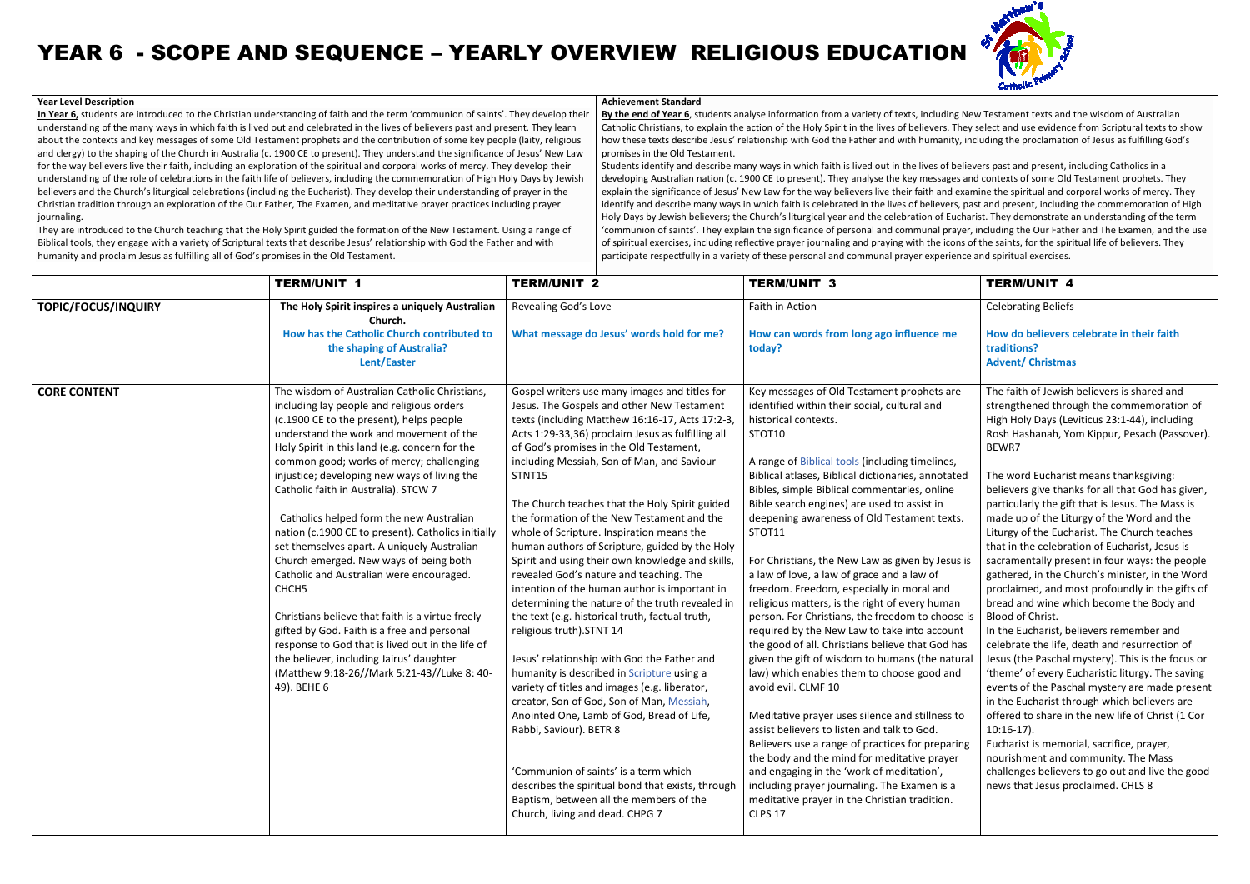## **Year Level Description In Year 6,** students are introduced to the Christian understanding of faith and the term 'communion of saints'. They develop their understanding of the many ways in which faith is lived out and celebrated in the lives of believers past and present. They learn understanding of the many ways in which faith is lived out and celebrated in the lives of believers past and present. They learn<br>about the contexts and key messages of some Old Testament prophets and the contribution of so about the contexts and key messages of some Old Testament prophets and the contribution of some key people (laity, religious<br>and clergy) to the shaping of the Church in Australia (c. 1900 CE to present). They understand th and clergy) to the shaping of the Church in Australia (c. 1900 CE to present). They understand the significance of Jesus' New La<br>for the way believers live their faith, including an exploration of the spiritual and corpora understanding of the role of celebrations in the faith life of believers, including the commemoration of High Holy Days by Jewish understanding of the role of celebrations in the faith life of believers, including the commemoration of High Holy Days by Jew<br>believers and the Church's liturgical celebrations (including the Eucharist). They develop thei Christian tradition through an exploration of the Our Father, The Examen, and meditative prayer practices including prayer journaling. Christian tradition through an exploration of the Our Father, The Examen, and meditative prayer practices including prayer<br>journaling.<br>They are introduced to the Church teaching that the Holy Spirit guided the formation of ). They develop their understanding of prayer in the<br>i, and meditative prayer practices including prayer<br>le formation of the New Testament. Using a range of **Achievement Standard**promises in the Old Testament.

Biblical tools, they engage with a variety of Scriptural texts that describe Jesus' relationship with God the Father and with humanity and proclaim Jesus as fulfilling all of God's promises in the Old Testament.

**By the end of Year 6**, students analyse information from a variety of texts, including New Testament texts and the wisdom of Australian Catholic Christians, to explain the action of the Holy Spirit in the lives of believers. They select and use evidence from Scriptural texts to show how these texts describe Jesus' relationship with God the Father and with humanity, including the proclamation of Jesus as fulfilling God's nation from a variety of texts, including New Testament texts and the wisdom of Australian<br>ne Holy Spirit in the lives of believers. They select and use evidence from Scriptural texts to sh<br>with God the Father and with hum

Students identify and describe many ways in which faith is lived out in the lives of believers past and present, including Catholics in a developing Australian nation (c. 1900 CE to present). They analyse the key messages and contexts of some explain the significance of Jesus' New Law for the way believers live their faith and examine the spiritual and corporal works of mercy. They identify and describe many ways in which faith is celebrated in the lives of believers, past and present, including the commemoration of High Holy Days by Jewish believers; the Church's liturgical year and the celebration of Eucharist. They demonstrate an understanding of the term 'communion of saints'. They explain the significance of personal and communal prayer, including the Our Father and The Examen, and the use of spiritual exercises, including reflective prayer journaling and praying with the icons of the saints, for the spiritual life of believers. They participate respectfully in a variety of these personal and communal prayer experience and spiritual exercises. and present, including the commemoration of High<br>. They demonstrate an understanding of the term<br>:luding the Our Father and The Examen, and the use<br>le saints, for the spiritual life of believers. They

## YEAR 6 - SCOPE AND SEQUENCE – YEARLY OVERVIEW RELIGIOUS EDUCATION

|                     | <b>TERM/UNIT 1</b>                                                                                                                                                                                                                                                                                                                                                                                                                                                                                                                                                                                                                                                                                                                                                                                                                                                                                   | <b>TERM/UNIT 2</b>                                                                                                                                                                                                                                                                                                                                                                                                                                                                                                                                                                                                                                                                                                                                                                                                                                                                                                                                                                                                                                                                                                                                                                                                                     | <b>TERM/UNIT 3</b>                                                                                                                                                                                                                                                                                                                                                                                                                                                                                                                                                                                                                                                                                                                                                                                                                                                                                                                                                                                                                                                                                                                                                                                                                           | <b>TERM/UNIT 4</b>                                                                                                                                                                                                                                                                                                                                                                                                                                                                                                                                                                                                                                                                                                                                                                                                                                                                                                                                                                                                                                                                                                                                                                                                                                                                         |
|---------------------|------------------------------------------------------------------------------------------------------------------------------------------------------------------------------------------------------------------------------------------------------------------------------------------------------------------------------------------------------------------------------------------------------------------------------------------------------------------------------------------------------------------------------------------------------------------------------------------------------------------------------------------------------------------------------------------------------------------------------------------------------------------------------------------------------------------------------------------------------------------------------------------------------|----------------------------------------------------------------------------------------------------------------------------------------------------------------------------------------------------------------------------------------------------------------------------------------------------------------------------------------------------------------------------------------------------------------------------------------------------------------------------------------------------------------------------------------------------------------------------------------------------------------------------------------------------------------------------------------------------------------------------------------------------------------------------------------------------------------------------------------------------------------------------------------------------------------------------------------------------------------------------------------------------------------------------------------------------------------------------------------------------------------------------------------------------------------------------------------------------------------------------------------|----------------------------------------------------------------------------------------------------------------------------------------------------------------------------------------------------------------------------------------------------------------------------------------------------------------------------------------------------------------------------------------------------------------------------------------------------------------------------------------------------------------------------------------------------------------------------------------------------------------------------------------------------------------------------------------------------------------------------------------------------------------------------------------------------------------------------------------------------------------------------------------------------------------------------------------------------------------------------------------------------------------------------------------------------------------------------------------------------------------------------------------------------------------------------------------------------------------------------------------------|--------------------------------------------------------------------------------------------------------------------------------------------------------------------------------------------------------------------------------------------------------------------------------------------------------------------------------------------------------------------------------------------------------------------------------------------------------------------------------------------------------------------------------------------------------------------------------------------------------------------------------------------------------------------------------------------------------------------------------------------------------------------------------------------------------------------------------------------------------------------------------------------------------------------------------------------------------------------------------------------------------------------------------------------------------------------------------------------------------------------------------------------------------------------------------------------------------------------------------------------------------------------------------------------|
| TOPIC/FOCUS/INQUIRY | The Holy Spirit inspires a uniquely Australian<br>Church.                                                                                                                                                                                                                                                                                                                                                                                                                                                                                                                                                                                                                                                                                                                                                                                                                                            | Revealing God's Love                                                                                                                                                                                                                                                                                                                                                                                                                                                                                                                                                                                                                                                                                                                                                                                                                                                                                                                                                                                                                                                                                                                                                                                                                   | Faith in Action                                                                                                                                                                                                                                                                                                                                                                                                                                                                                                                                                                                                                                                                                                                                                                                                                                                                                                                                                                                                                                                                                                                                                                                                                              | <b>Celebrating Beliefs</b>                                                                                                                                                                                                                                                                                                                                                                                                                                                                                                                                                                                                                                                                                                                                                                                                                                                                                                                                                                                                                                                                                                                                                                                                                                                                 |
|                     | How has the Catholic Church contributed to<br>the shaping of Australia?<br>Lent/Easter                                                                                                                                                                                                                                                                                                                                                                                                                                                                                                                                                                                                                                                                                                                                                                                                               | What message do Jesus' words hold for me?                                                                                                                                                                                                                                                                                                                                                                                                                                                                                                                                                                                                                                                                                                                                                                                                                                                                                                                                                                                                                                                                                                                                                                                              | How can words from long ago influence me<br>today?                                                                                                                                                                                                                                                                                                                                                                                                                                                                                                                                                                                                                                                                                                                                                                                                                                                                                                                                                                                                                                                                                                                                                                                           | How do believers celebrate in their faith<br>traditions?<br><b>Advent/ Christmas</b>                                                                                                                                                                                                                                                                                                                                                                                                                                                                                                                                                                                                                                                                                                                                                                                                                                                                                                                                                                                                                                                                                                                                                                                                       |
| <b>CORE CONTENT</b> | The wisdom of Australian Catholic Christians,<br>including lay people and religious orders<br>(c.1900 CE to the present), helps people<br>understand the work and movement of the<br>Holy Spirit in this land (e.g. concern for the<br>common good; works of mercy; challenging<br>injustice; developing new ways of living the<br>Catholic faith in Australia). STCW 7<br>Catholics helped form the new Australian<br>nation (c.1900 CE to present). Catholics initially<br>set themselves apart. A uniquely Australian<br>Church emerged. New ways of being both<br>Catholic and Australian were encouraged.<br>CHCH <sub>5</sub><br>Christians believe that faith is a virtue freely<br>gifted by God. Faith is a free and personal<br>response to God that is lived out in the life of<br>the believer, including Jairus' daughter<br>(Matthew 9:18-26//Mark 5:21-43//Luke 8: 40-<br>49). BEHE 6 | Gospel writers use many images and titles for<br>Jesus. The Gospels and other New Testament<br>texts (including Matthew 16:16-17, Acts 17:2-3,<br>Acts 1:29-33,36) proclaim Jesus as fulfilling all<br>of God's promises in the Old Testament,<br>including Messiah, Son of Man, and Saviour<br>STNT15<br>The Church teaches that the Holy Spirit guided<br>the formation of the New Testament and the<br>whole of Scripture. Inspiration means the<br>human authors of Scripture, guided by the Holy<br>Spirit and using their own knowledge and skills,<br>revealed God's nature and teaching. The<br>intention of the human author is important in<br>determining the nature of the truth revealed in<br>the text (e.g. historical truth, factual truth,<br>religious truth).STNT 14<br>Jesus' relationship with God the Father and<br>humanity is described in Scripture using a<br>variety of titles and images (e.g. liberator,<br>creator, Son of God, Son of Man, Messiah,<br>Anointed One, Lamb of God, Bread of Life,<br>Rabbi, Saviour). BETR 8<br>'Communion of saints' is a term which<br>describes the spiritual bond that exists, through<br>Baptism, between all the members of the<br>Church, living and dead. CHPG 7 | Key messages of Old Testament prophets are<br>identified within their social, cultural and<br>historical contexts.<br>STOT10<br>A range of Biblical tools (including timelines,<br>Biblical atlases, Biblical dictionaries, annotated<br>Bibles, simple Biblical commentaries, online<br>Bible search engines) are used to assist in<br>deepening awareness of Old Testament texts.<br>STOT11<br>For Christians, the New Law as given by Jesus is<br>a law of love, a law of grace and a law of<br>freedom. Freedom, especially in moral and<br>religious matters, is the right of every human<br>person. For Christians, the freedom to choose is<br>required by the New Law to take into account<br>the good of all. Christians believe that God has<br>given the gift of wisdom to humans (the natural<br>law) which enables them to choose good and<br>avoid evil. CLMF 10<br>Meditative prayer uses silence and stillness to<br>assist believers to listen and talk to God.<br>Believers use a range of practices for preparing<br>the body and the mind for meditative prayer<br>and engaging in the 'work of meditation',<br>including prayer journaling. The Examen is a<br>meditative prayer in the Christian tradition.<br>CLPS 17 | The faith of Jewish believers is shared and<br>strengthened through the commemoration of<br>High Holy Days (Leviticus 23:1-44), including<br>Rosh Hashanah, Yom Kippur, Pesach (Passover).<br>BEWR7<br>The word Eucharist means thanksgiving:<br>believers give thanks for all that God has given,<br>particularly the gift that is Jesus. The Mass is<br>made up of the Liturgy of the Word and the<br>Liturgy of the Eucharist. The Church teaches<br>that in the celebration of Eucharist, Jesus is<br>sacramentally present in four ways: the people<br>gathered, in the Church's minister, in the Word<br>proclaimed, and most profoundly in the gifts of<br>bread and wine which become the Body and<br>Blood of Christ.<br>In the Eucharist, believers remember and<br>celebrate the life, death and resurrection of<br>Jesus (the Paschal mystery). This is the focus or<br>'theme' of every Eucharistic liturgy. The saving<br>events of the Paschal mystery are made present<br>in the Eucharist through which believers are<br>offered to share in the new life of Christ (1 Cor<br>$10:16-17$ ).<br>Eucharist is memorial, sacrifice, prayer,<br>nourishment and community. The Mass<br>challenges believers to go out and live the good<br>news that Jesus proclaimed. CHLS 8 |

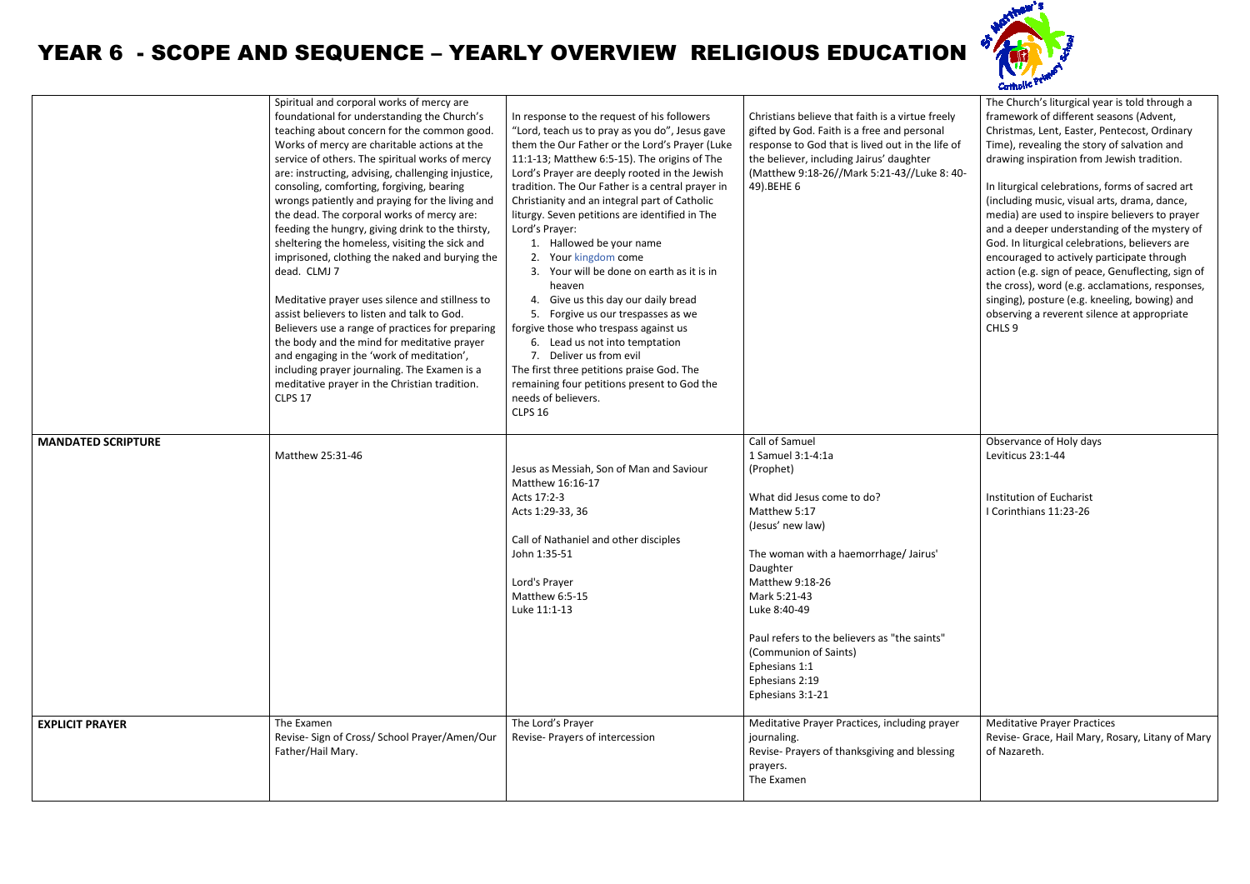## YEAR 6 - SCOPE AND SEQUENCE – YEARLY OVERVIEW RELIGIOUS EDUCATION

|                           | Spiritual and corporal works of mercy are<br>foundational for understanding the Church's<br>teaching about concern for the common good.<br>Works of mercy are charitable actions at the<br>service of others. The spiritual works of mercy<br>are: instructing, advising, challenging injustice,<br>consoling, comforting, forgiving, bearing<br>wrongs patiently and praying for the living and<br>the dead. The corporal works of mercy are:<br>feeding the hungry, giving drink to the thirsty,<br>sheltering the homeless, visiting the sick and<br>imprisoned, clothing the naked and burying the<br>dead. CLMJ 7<br>Meditative prayer uses silence and stillness to<br>assist believers to listen and talk to God.<br>Believers use a range of practices for preparing<br>the body and the mind for meditative prayer<br>and engaging in the 'work of meditation',<br>including prayer journaling. The Examen is a<br>meditative prayer in the Christian tradition.<br><b>CLPS 17</b> | In response to the request of his followers<br>"Lord, teach us to pray as you do", Jesus gave<br>them the Our Father or the Lord's Prayer (Luke<br>11:1-13; Matthew 6:5-15). The origins of The<br>Lord's Prayer are deeply rooted in the Jewish<br>tradition. The Our Father is a central prayer in<br>Christianity and an integral part of Catholic<br>liturgy. Seven petitions are identified in The<br>Lord's Prayer:<br>1. Hallowed be your name<br>2. Your kingdom come<br>Your will be done on earth as it is in<br>heaven<br>4. Give us this day our daily bread<br>5. Forgive us our trespasses as we<br>forgive those who trespass against us<br>6. Lead us not into temptation<br>7. Deliver us from evil<br>The first three petitions praise God. The<br>remaining four petitions present to God the<br>needs of believers.<br><b>CLPS 16</b> | Christians believe that faith is a virtue freely<br>gifted by God. Faith is a free and personal<br>response to God that is lived out in the life of<br>the believer, including Jairus' daughter<br>(Matthew 9:18-26//Mark 5:21-43//Luke 8: 40-<br>49).BEHE 6                                                                                              | The Church's liturgical year is told through a<br>framework of different seasons (Advent,<br>Christmas, Lent, Easter, Pentecost, Ordinary<br>Time), revealing the story of salvation and<br>drawing inspiration from Jewish tradition.<br>In liturgical celebrations, forms of sacred art<br>(including music, visual arts, drama, dance,<br>media) are used to inspire believers to prayer<br>and a deeper understanding of the mystery of<br>God. In liturgical celebrations, believers are<br>encouraged to actively participate through<br>action (e.g. sign of peace, Genuflecting, sign of<br>the cross), word (e.g. acclamations, responses,<br>singing), posture (e.g. kneeling, bowing) and<br>observing a reverent silence at appropriate<br>CHLS 9 |
|---------------------------|---------------------------------------------------------------------------------------------------------------------------------------------------------------------------------------------------------------------------------------------------------------------------------------------------------------------------------------------------------------------------------------------------------------------------------------------------------------------------------------------------------------------------------------------------------------------------------------------------------------------------------------------------------------------------------------------------------------------------------------------------------------------------------------------------------------------------------------------------------------------------------------------------------------------------------------------------------------------------------------------|-----------------------------------------------------------------------------------------------------------------------------------------------------------------------------------------------------------------------------------------------------------------------------------------------------------------------------------------------------------------------------------------------------------------------------------------------------------------------------------------------------------------------------------------------------------------------------------------------------------------------------------------------------------------------------------------------------------------------------------------------------------------------------------------------------------------------------------------------------------|-----------------------------------------------------------------------------------------------------------------------------------------------------------------------------------------------------------------------------------------------------------------------------------------------------------------------------------------------------------|---------------------------------------------------------------------------------------------------------------------------------------------------------------------------------------------------------------------------------------------------------------------------------------------------------------------------------------------------------------------------------------------------------------------------------------------------------------------------------------------------------------------------------------------------------------------------------------------------------------------------------------------------------------------------------------------------------------------------------------------------------------|
| <b>MANDATED SCRIPTURE</b> | Matthew 25:31-46                                                                                                                                                                                                                                                                                                                                                                                                                                                                                                                                                                                                                                                                                                                                                                                                                                                                                                                                                                            | Jesus as Messiah, Son of Man and Saviour<br>Matthew 16:16-17<br>Acts 17:2-3<br>Acts 1:29-33, 36<br>Call of Nathaniel and other disciples<br>John 1:35-51<br>Lord's Prayer<br>Matthew 6:5-15<br>Luke 11:1-13                                                                                                                                                                                                                                                                                                                                                                                                                                                                                                                                                                                                                                               | Call of Samuel<br>1 Samuel 3:1-4:1a<br>(Prophet)<br>What did Jesus come to do?<br>Matthew 5:17<br>(Jesus' new law)<br>The woman with a haemorrhage/Jairus'<br>Daughter<br>Matthew 9:18-26<br>Mark 5:21-43<br>Luke 8:40-49<br>Paul refers to the believers as "the saints"<br>(Communion of Saints)<br>Ephesians 1:1<br>Ephesians 2:19<br>Ephesians 3:1-21 | Observance of Holy days<br>Leviticus 23:1-44<br>Institution of Eucharist<br>I Corinthians 11:23-26                                                                                                                                                                                                                                                                                                                                                                                                                                                                                                                                                                                                                                                            |
| <b>EXPLICIT PRAYER</b>    | The Examen<br>Revise- Sign of Cross/ School Prayer/Amen/Our<br>Father/Hail Mary.                                                                                                                                                                                                                                                                                                                                                                                                                                                                                                                                                                                                                                                                                                                                                                                                                                                                                                            | The Lord's Prayer<br>Revise- Prayers of intercession                                                                                                                                                                                                                                                                                                                                                                                                                                                                                                                                                                                                                                                                                                                                                                                                      | Meditative Prayer Practices, including prayer<br>journaling.<br>Revise- Prayers of thanksgiving and blessing<br>prayers.<br>The Examen                                                                                                                                                                                                                    | <b>Meditative Prayer Practices</b><br>Revise- Grace, Hail Mary, Rosary, Litany of Mary<br>of Nazareth.                                                                                                                                                                                                                                                                                                                                                                                                                                                                                                                                                                                                                                                        |